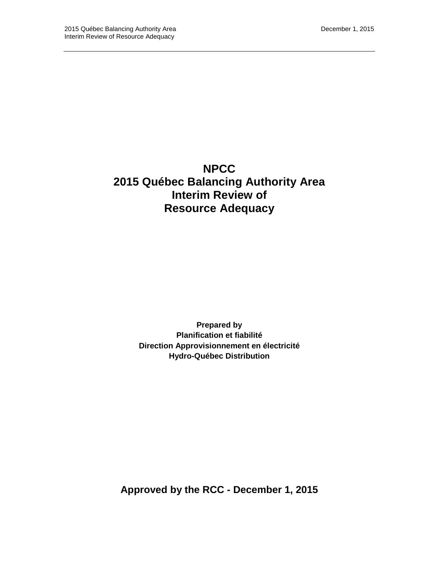# **NPCC 2015 Québec Balancing Authority Area Interim Review of Resource Adequacy**

**Prepared by Planification et fiabilité Direction Approvisionnement en électricité Hydro-Québec Distribution** 

**Approved by the RCC - December 1, 2015**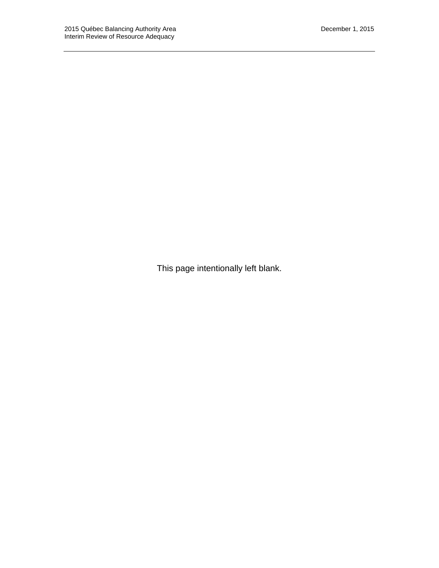This page intentionally left blank.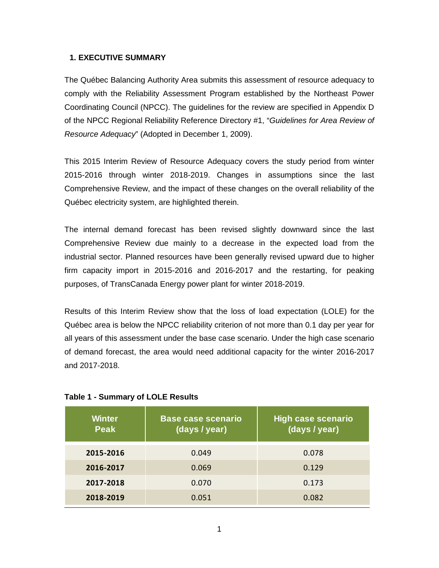### **1. EXECUTIVE SUMMARY**

The Québec Balancing Authority Area submits this assessment of resource adequacy to comply with the Reliability Assessment Program established by the Northeast Power Coordinating Council (NPCC). The guidelines for the review are specified in Appendix D of the NPCC Regional Reliability Reference Directory #1, "Guidelines for Area Review of Resource Adequacy" (Adopted in December 1, 2009).

This 2015 Interim Review of Resource Adequacy covers the study period from winter 2015-2016 through winter 2018-2019. Changes in assumptions since the last Comprehensive Review, and the impact of these changes on the overall reliability of the Québec electricity system, are highlighted therein.

The internal demand forecast has been revised slightly downward since the last Comprehensive Review due mainly to a decrease in the expected load from the industrial sector. Planned resources have been generally revised upward due to higher firm capacity import in 2015-2016 and 2016-2017 and the restarting, for peaking purposes, of TransCanada Energy power plant for winter 2018-2019.

Results of this Interim Review show that the loss of load expectation (LOLE) for the Québec area is below the NPCC reliability criterion of not more than 0.1 day per year for all years of this assessment under the base case scenario. Under the high case scenario of demand forecast, the area would need additional capacity for the winter 2016-2017 and 2017-2018.

| <b>Winter</b><br><b>Peak</b> | <b>Base case scenario</b><br>(days / year) | <b>High case scenario</b><br>(days / year) |
|------------------------------|--------------------------------------------|--------------------------------------------|
| 2015-2016                    | 0.049                                      | 0.078                                      |
| 2016-2017                    | 0.069                                      | 0.129                                      |
| 2017-2018                    | 0.070                                      | 0.173                                      |
| 2018-2019                    | 0.051                                      | 0.082                                      |

#### **Table 1 - Summary of LOLE Results**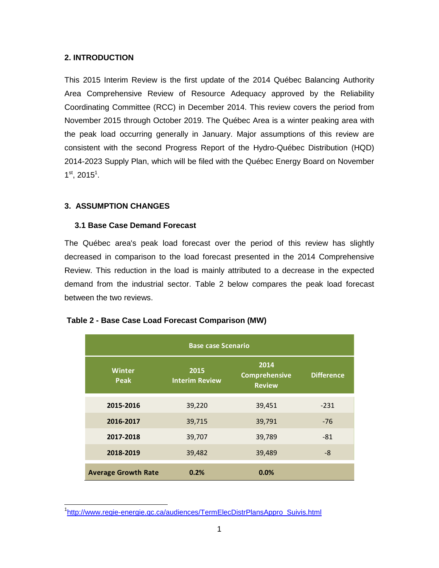### **2. INTRODUCTION**

This 2015 Interim Review is the first update of the 2014 Québec Balancing Authority Area Comprehensive Review of Resource Adequacy approved by the Reliability Coordinating Committee (RCC) in December 2014. This review covers the period from November 2015 through October 2019. The Québec Area is a winter peaking area with the peak load occurring generally in January. Major assumptions of this review are consistent with the second Progress Report of the Hydro-Québec Distribution (HQD) 2014-2023 Supply Plan, which will be filed with the Québec Energy Board on November  $1^{\text{st}}$ , 2015<sup>1</sup>.

### **3. ASSUMPTION CHANGES**

 $\overline{1}$ 

#### **3.1 Base Case Demand Forecast**

The Québec area's peak load forecast over the period of this review has slightly decreased in comparison to the load forecast presented in the 2014 Comprehensive Review. This reduction in the load is mainly attributed to a decrease in the expected demand from the industrial sector. Table 2 below compares the peak load forecast between the two reviews.

|  |  |  |  |  | Table 2 - Base Case Load Forecast Comparison (MW) |  |
|--|--|--|--|--|---------------------------------------------------|--|
|--|--|--|--|--|---------------------------------------------------|--|

| <b>Base case Scenario</b>  |                               |                                               |                   |  |  |  |
|----------------------------|-------------------------------|-----------------------------------------------|-------------------|--|--|--|
| <b>Winter</b><br>Peak      | 2015<br><b>Interim Review</b> | 2014<br><b>Comprehensive</b><br><b>Review</b> | <b>Difference</b> |  |  |  |
| 2015-2016                  | 39,220                        | 39,451                                        | $-231$            |  |  |  |
| 2016-2017                  | 39,715                        | 39,791                                        | $-76$             |  |  |  |
| 2017-2018                  | 39,707                        | 39,789                                        | $-81$             |  |  |  |
| 2018-2019                  | 39,482                        | 39,489                                        | -8                |  |  |  |
| <b>Average Growth Rate</b> | 0.2%                          | 0.0%                                          |                   |  |  |  |

<sup>&</sup>lt;sup>1</sup>http://www.regie-energie.qc.ca/audiences/TermElecDistrPlansAppro\_Suivis.html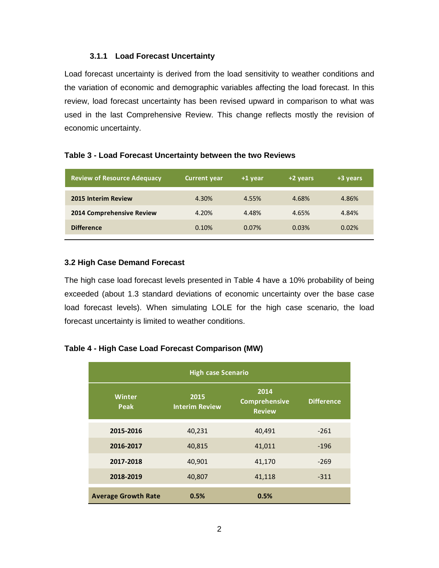### **3.1.1 Load Forecast Uncertainty**

Load forecast uncertainty is derived from the load sensitivity to weather conditions and the variation of economic and demographic variables affecting the load forecast. In this review, load forecast uncertainty has been revised upward in comparison to what was used in the last Comprehensive Review. This change reflects mostly the revision of economic uncertainty.

| <b>Review of Resource Adequacy</b> | <b>Current year</b> | $+1$ year | +2 years | +3 years |
|------------------------------------|---------------------|-----------|----------|----------|
| <b>2015 Interim Review</b>         | 4.30%               | 4.55%     | 4.68%    | 4.86%    |
| 2014 Comprehensive Review          | 4.20%               | 4.48%     | 4.65%    | 4.84%    |
| <b>Difference</b>                  | 0.10%               | 0.07%     | 0.03%    | 0.02%    |

### **Table 3 - Load Forecast Uncertainty between the two Reviews**

### **3.2 High Case Demand Forecast**

The high case load forecast levels presented in Table 4 have a 10% probability of being exceeded (about 1.3 standard deviations of economic uncertainty over the base case load forecast levels). When simulating LOLE for the high case scenario, the load forecast uncertainty is limited to weather conditions.

# **Table 4 - High Case Load Forecast Comparison (MW)**

| <b>High case Scenario</b>  |                               |                                               |                   |  |  |  |
|----------------------------|-------------------------------|-----------------------------------------------|-------------------|--|--|--|
| Winter<br><b>Peak</b>      | 2015<br><b>Interim Review</b> | 2014<br><b>Comprehensive</b><br><b>Review</b> | <b>Difference</b> |  |  |  |
| 2015-2016                  | 40,231                        | 40,491                                        | $-261$            |  |  |  |
| 2016-2017                  | 40,815                        | 41,011                                        | $-196$            |  |  |  |
| 2017-2018                  | 40,901                        | 41,170                                        | $-269$            |  |  |  |
| 2018-2019                  | 40,807                        | 41,118                                        | $-311$            |  |  |  |
| <b>Average Growth Rate</b> | 0.5%                          | 0.5%                                          |                   |  |  |  |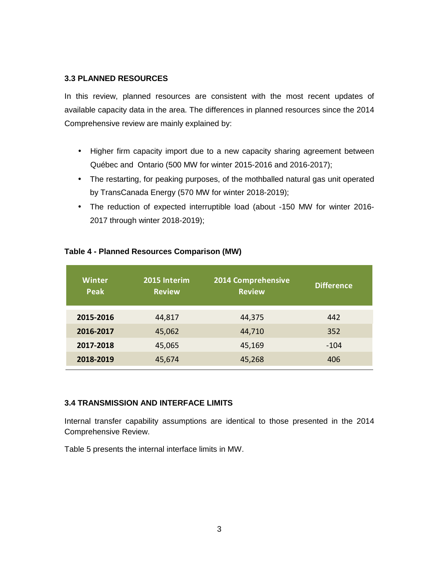### **3.3 PLANNED RESOURCES**

In this review, planned resources are consistent with the most recent updates of available capacity data in the area. The differences in planned resources since the 2014 Comprehensive review are mainly explained by:

- Higher firm capacity import due to a new capacity sharing agreement between Québec and Ontario (500 MW for winter 2015-2016 and 2016-2017);
- The restarting, for peaking purposes, of the mothballed natural gas unit operated by TransCanada Energy (570 MW for winter 2018-2019);
- The reduction of expected interruptible load (about -150 MW for winter 2016- 2017 through winter 2018-2019);

| <b>Winter</b><br><b>Peak</b> | 2015 Interim<br><b>Review</b> | 2014 Comprehensive<br><b>Review</b> | <b>Difference</b> |
|------------------------------|-------------------------------|-------------------------------------|-------------------|
| 2015-2016                    | 44,817                        | 44,375                              | 442               |
| 2016-2017                    | 45,062                        | 44,710                              | 352               |
| 2017-2018                    | 45,065                        | 45,169                              | $-104$            |
| 2018-2019                    | 45,674                        | 45,268                              | 406               |

#### **Table 4 - Planned Resources Comparison (MW)**

#### **3.4 TRANSMISSION AND INTERFACE LIMITS**

Internal transfer capability assumptions are identical to those presented in the 2014 Comprehensive Review.

Table 5 presents the internal interface limits in MW.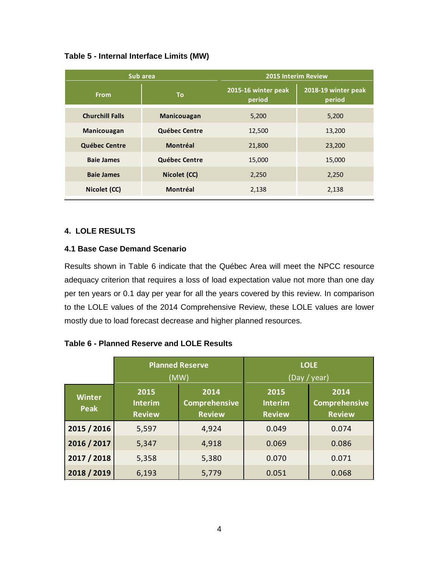| Table 5 - Internal Interface Limits (MW) |  |  |  |  |  |
|------------------------------------------|--|--|--|--|--|
|------------------------------------------|--|--|--|--|--|

| Sub area               |                    | <b>2015 Interim Review</b>    |                               |  |
|------------------------|--------------------|-------------------------------|-------------------------------|--|
| <b>From</b>            | <b>To</b>          | 2015-16 winter peak<br>period | 2018-19 winter peak<br>period |  |
| <b>Churchill Falls</b> | <b>Manicouagan</b> | 5,200                         | 5,200                         |  |
| Manicouagan            | Québec Centre      | 12,500                        | 13,200                        |  |
| Québec Centre          | Montréal           | 21,800                        | 23,200                        |  |
| <b>Baie James</b>      | Québec Centre      | 15,000                        | 15,000                        |  |
| <b>Baie James</b>      | Nicolet (CC)       | 2,250                         | 2,250                         |  |
| Nicolet (CC)           | Montréal           | 2,138                         | 2,138                         |  |

### **4. LOLE RESULTS**

# **4.1 Base Case Demand Scenario**

Results shown in Table 6 indicate that the Québec Area will meet the NPCC resource adequacy criterion that requires a loss of load expectation value not more than one day per ten years or 0.1 day per year for all the years covered by this review. In comparison to the LOLE values of the 2014 Comprehensive Review, these LOLE values are lower mostly due to load forecast decrease and higher planned resources.

|                              | <b>Planned Reserve</b><br>(MW)          |                                        |                                         |                                        |  | <b>LOLE</b><br>(Day / year) |
|------------------------------|-----------------------------------------|----------------------------------------|-----------------------------------------|----------------------------------------|--|-----------------------------|
| <b>Winter</b><br><b>Peak</b> | 2015<br><b>Interim</b><br><b>Review</b> | 2014<br>Comprehensive<br><b>Review</b> | 2015<br><b>Interim</b><br><b>Review</b> | 2014<br>Comprehensive<br><b>Review</b> |  |                             |
| 2015 / 2016                  | 5,597                                   | 4,924                                  | 0.049                                   | 0.074                                  |  |                             |
| 2016 / 2017                  | 5,347                                   | 4,918                                  | 0.069                                   | 0.086                                  |  |                             |
| 2017 / 2018                  | 5,358                                   | 5,380                                  | 0.070                                   | 0.071                                  |  |                             |
| 2018 / 2019                  | 6,193                                   | 5,779                                  | 0.051                                   | 0.068                                  |  |                             |

# **Table 6 - Planned Reserve and LOLE Results**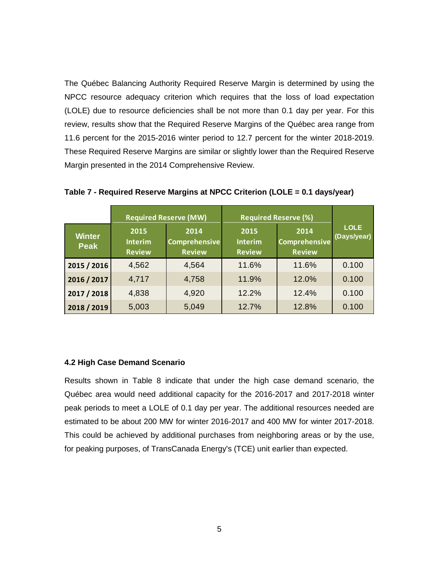The Québec Balancing Authority Required Reserve Margin is determined by using the NPCC resource adequacy criterion which requires that the loss of load expectation (LOLE) due to resource deficiencies shall be not more than 0.1 day per year. For this review, results show that the Required Reserve Margins of the Québec area range from 11.6 percent for the 2015-2016 winter period to 12.7 percent for the winter 2018-2019. These Required Reserve Margins are similar or slightly lower than the Required Reserve Margin presented in the 2014 Comprehensive Review.

|                              | <b>Required Reserve (MW)</b>            |                                               | <b>Required Reserve (%)</b>             |                                               |                            |
|------------------------------|-----------------------------------------|-----------------------------------------------|-----------------------------------------|-----------------------------------------------|----------------------------|
| <b>Winter</b><br><b>Peak</b> | 2015<br><b>Interim</b><br><b>Review</b> | 2014<br><b>Comprehensive</b><br><b>Review</b> | 2015<br><b>Interim</b><br><b>Review</b> | 2014<br><b>Comprehensive</b><br><b>Review</b> | <b>LOLE</b><br>(Days/year) |
| 2015 / 2016                  | 4,562                                   | 4,564                                         | 11.6%                                   | 11.6%                                         | 0.100                      |
| 2016 / 2017                  | 4,717                                   | 4,758                                         | 11.9%                                   | 12.0%                                         | 0.100                      |
| 2017 / 2018                  | 4,838                                   | 4,920                                         | 12.2%                                   | 12.4%                                         | 0.100                      |
| 2018 / 2019                  | 5,003                                   | 5,049                                         | 12.7%                                   | 12.8%                                         | 0.100                      |

**Table 7 - Required Reserve Margins at NPCC Criterion (LOLE = 0.1 days/year)** 

#### **4.2 High Case Demand Scenario**

Results shown in Table 8 indicate that under the high case demand scenario, the Québec area would need additional capacity for the 2016-2017 and 2017-2018 winter peak periods to meet a LOLE of 0.1 day per year. The additional resources needed are estimated to be about 200 MW for winter 2016-2017 and 400 MW for winter 2017-2018. This could be achieved by additional purchases from neighboring areas or by the use, for peaking purposes, of TransCanada Energy's (TCE) unit earlier than expected.